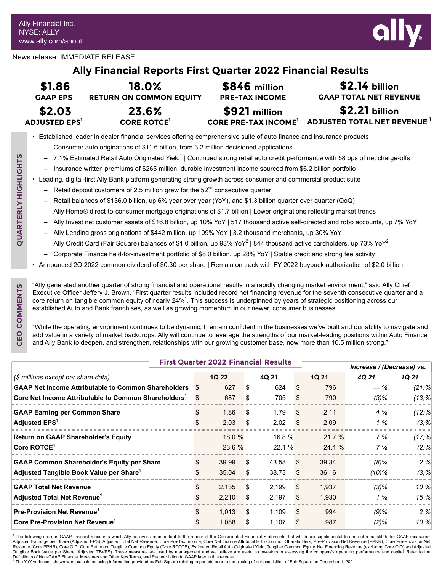

News release: IMMEDIATE RELEASE

# **Ally Financial Reports First Quarter 2022 Financial Results**

| \$1.86                  | 18.0%                          | \$846 million            | $$2.14$ billion               |
|-------------------------|--------------------------------|--------------------------|-------------------------------|
| <b>GAAP EPS</b>         | <b>RETURN ON COMMON EQUITY</b> | <b>PRE-TAX INCOME</b>    | <b>GAAP TOTAL NET REVENUE</b> |
| \$2.03                  | 23.6%                          | \$921 million            | $$2.21$ billion               |
| ADJUSTED EPS $^{\rm l}$ | <b>CORE ROTCE</b>              | CORE PRE-TAX INCOME $^1$ | ADJUSTED TOTAL NET REVENUE 1  |

• Established leader in dealer financial services offering comprehensive suite of auto finance and insurance products

- Consumer auto originations of \$11.6 billion, from 3.2 million decisioned applications
- 7.1% Estimated Retail Auto Originated Yield<sup>1</sup> | Continued strong retail auto credit performance with 58 bps of net charge-offs
- Insurance written premiums of \$265 million, durable investment income sourced from \$6.2 billion portfolio
- Leading, digital-first Ally Bank platform generating strong growth across consumer and commercial product suite
	- Retail deposit customers of 2.5 million grew for the 52<sup>nd</sup> consecutive quarter
	- Retail balances of \$136.0 billion, up 6% year over year (YoY), and \$1.3 billion quarter over quarter (QoQ)
	- Ally Home® direct-to-consumer mortgage originations of \$1.7 billion | Lower originations reflecting market trends
	- Ally Invest net customer assets of \$16.8 billion, up 10% YoY | 517 thousand active self-directed and robo accounts, up 7% YoY
	- Ally Lending gross originations of \$442 million, up 109% YoY | 3.2 thousand merchants, up 30% YoY
	- $-$  Ally Credit Card (Fair Square) balances of \$1.0 billion, up 93% YoY<sup>2</sup> | 844 thousand active cardholders, up 73% YoY<sup>2</sup>
	- Corporate Finance held-for-investment portfolio of \$8.0 billion, up 28% YoY | Stable credit and strong fee activity
- Announced 2Q 2022 common dividend of \$0.30 per share | Remain on track with FY 2022 buyback authorization of \$2.0 billion

"Ally generated another quarter of strong financial and operational results in a rapidly changing market environment," said Ally Chief Executive Officer Jeffery J. Brown. "First quarter results included record net financing revenue for the seventh consecutive quarter and a core return on tangible common equity of nearly 24%<sup>1</sup>. This success is underpinned by years of strategic positioning across our established Auto and Bank franchises, as well as growing momentum in our newer, consumer businesses.

"While the operating environment continues to be dynamic, I remain confident in the businesses we've built and our ability to navigate and add value in a variety of market backdrops. Ally will continue to leverage the strengths of our market-leading positions within Auto Finance and Ally Bank to deepen, and strengthen, relationships with our growing customer base, now more than 10.5 million strong."

|                                                                  | <b>First Quarter 2022 Financial Results</b> |     |              |    |        |                           |              |         |          |
|------------------------------------------------------------------|---------------------------------------------|-----|--------------|----|--------|---------------------------|--------------|---------|----------|
|                                                                  |                                             |     |              |    |        | Increase / (Decrease) vs. |              |         |          |
| (\$ millions except per share data)                              |                                             |     | <b>1Q 22</b> |    | 4Q 21  |                           | <b>1Q 21</b> | 4Q 21   | 1Q 21    |
| <b>GAAP Net Income Attributable to Common Shareholders</b>       |                                             |     | 627          | \$ | 624    | \$                        | 796          | $-$ %   | $(21)\%$ |
| Core Net Income Attributable to Common Shareholders <sup>1</sup> |                                             |     | 687          | S  | 705    | S.                        | 790          | $(3)\%$ | (13)%    |
| <b>GAAP Earning per Common Share</b>                             |                                             |     | 1.86         | S  | 1.79   | \$.                       | 2.11         | 4 %     | $(12)\%$ |
| Adjusted EPS <sup>1</sup>                                        |                                             |     | 2.03         | S  | 2.02   |                           | 2.09         | 1%      | $(3)\%$  |
| <b>Return on GAAP Shareholder's Equity</b>                       |                                             |     | 18.0%        |    | 16.8%  |                           | 21.7%        | 7%      | (17)%    |
| Core ROTCE <sup>1</sup>                                          |                                             |     | 23.6 %       |    | 22.1 % |                           | 24.1 %       | 7 %     | (2)%     |
| <b>GAAP Common Shareholder's Equity per Share</b>                |                                             | \$. | 39.99        | \$ | 43.58  | -S                        | 39.34        | $(8)\%$ | 2 %      |
| Adjusted Tangible Book Value per Share <sup>1</sup>              |                                             |     | 35.04        | S  | 38.73  | -SS                       | 36.16        | (10)%   | (3)%     |
| <b>GAAP Total Net Revenue</b>                                    |                                             |     | 2,135        | \$ | 2,199  | \$.                       | 1.937        | $(3)\%$ | 10 %     |
| <b>Adjusted Total Net Revenue</b> <sup>1</sup>                   |                                             |     | 2,210        | S  | 2,197  |                           | 1,930        | 1%      | 15 %     |
| Pre-Provision Net Revenue <sup>1</sup>                           |                                             | \$. | 1,013        | S. | 1,109  | \$.                       | 994          | $(9)$ % | 2%       |
| Core Pre-Provision Net Revenue <sup>1</sup>                      |                                             |     | 1.088        | S  | 1,107  | S.                        | 987          | $(2)\%$ | 10 %     |

<sup>1</sup> The following are non-GAAP financial measures which Ally believes are important to the reader of the Consolidated Financial Statements, but which are supplemental to and not a substitute for GAAP measures:<br>Adjusted Ear Revenue (Core PPNR), Core OID, Core Return on Tangible Common Equity (Core ROTCE), Estimated Retail Auto Originated Yield, Tangible Common Equity, Net Financing Revenue (excluding Core OID) and Adjusted Tangible Book Value per Share (Adjusted TBVPS). These measures are used by management and we believe are useful to investors in assessing the company's operating performance and capital. Refer to the<br>Definitions of Non-GAA

The YoY variances shown were calculated using information provided by Fair Square relating to periods prior to the closing of our acquisition of Fair Square on December 1, 2021.

**CEO COMMENTS**

CEO COMMENTS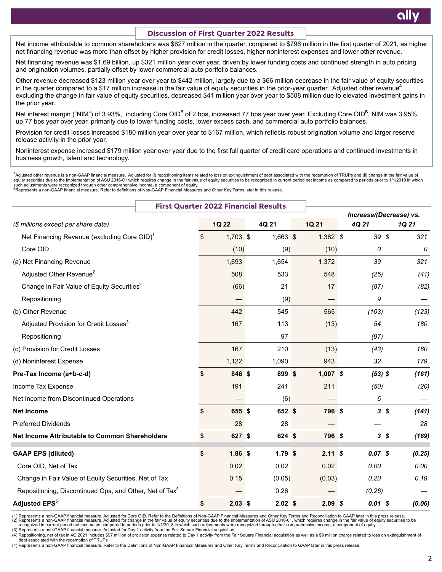#### **Discussion of First Quarter 2022 Results**

Net income attributable to common shareholders was \$627 million in the quarter, compared to \$796 million in the first quarter of 2021, as higher net financing revenue was more than offset by higher provision for credit losses, higher noninterest expenses and lower other revenue.

Net financing revenue was \$1.69 billion, up \$321 million year over year, driven by lower funding costs and continued strength in auto pricing and origination volumes, partially offset by lower commercial auto portfolio balances.

Other revenue decreased \$123 million year over year to \$442 million, largely due to a \$66 million decrease in the fair value of equity securities in the quarter compared to a \$17 million increase in the fair value of equity securities in the prior-year quarter. Adjusted other revenue<sup>A</sup>, excluding the change in fair value of equity securities, decreased \$41 million year over year to \$508 million due to elevated investment gains in the prior year.

Net interest margin ("NIM") of 3.93%, including Core OID<sup>B</sup> of 2 bps, increased 77 bps year over year. Excluding Core OID<sup>B</sup>, NIM was 3.95%, up 77 bps year over year, primarily due to lower funding costs, lower excess cash, and commercial auto portfolio balances.

Provision for credit losses increased \$180 million year over year to \$167 million, which reflects robust origination volume and larger reserve release activity in the prior year.

Noninterest expense increased \$179 million year over year due to the first full quarter of credit card operations and continued investments in business growth, talent and technology.

^Adjusted other revenue is a non-GAAP financial measure. Adjusted for (i) repositioning items related to loss on extinguishment of debt associated with the redemption of TRUPs and (ii) change in the fair value of<br>equity se such adjustments were recognized through other comprehensive income, a component of equity.<br><sup>B</sup>Represents a non-GAAP financial measure. Refer to definitions of Non-GAAP Financial Measures and Other Key Terms later in this

|                                                                     | <b>First Quarter 2022 Financial Results</b> |    |            |            |            |                         |        |
|---------------------------------------------------------------------|---------------------------------------------|----|------------|------------|------------|-------------------------|--------|
|                                                                     |                                             |    |            |            |            | Increase/(Decrease) vs. |        |
| (\$ millions except per share data)                                 |                                             |    | 1Q 22      | 4Q 21      | 1Q 21      | 4Q 21                   | 1Q 21  |
| Net Financing Revenue (excluding Core OID) <sup>1</sup>             |                                             | \$ | $1,703$ \$ | $1,663$ \$ | $1,382$ \$ | 39S                     | 321    |
| Core OID                                                            |                                             |    | (10)       | (9)        | (10)       | 0                       | 0      |
| (a) Net Financing Revenue                                           |                                             |    | 1,693      | 1,654      | 1,372      | 39                      | 321    |
| Adjusted Other Revenue <sup>2</sup>                                 |                                             |    | 508        | 533        | 548        | (25)                    | (41)   |
| Change in Fair Value of Equity Securities <sup>2</sup>              |                                             |    | (66)       | 21         | 17         | (87)                    | (82)   |
| Repositioning                                                       |                                             |    |            | (9)        |            | 9                       |        |
| (b) Other Revenue                                                   |                                             |    | 442        | 545        | 565        | (103)                   | (123)  |
| Adjusted Provision for Credit Losses <sup>3</sup>                   |                                             |    | 167        | 113        | (13)       | 54                      | 180    |
| Repositioning                                                       |                                             |    |            | 97         |            | (97)                    |        |
| (c) Provision for Credit Losses                                     |                                             |    | 167        | 210        | (13)       | (43)                    | 180    |
| (d) Noninterest Expense                                             |                                             |    | 1,122      | 1,090      | 943        | 32                      | 179    |
| Pre-Tax Income (a+b-c-d)                                            |                                             | \$ | 846 \$     | 899 \$     | $1,007$ \$ | $(53)$ \$               | (161)  |
| Income Tax Expense                                                  |                                             |    | 191        | 241        | 211        | (50)                    | (20)   |
| Net Income from Discontinued Operations                             |                                             |    |            | (6)        |            | 6                       |        |
| <b>Net Income</b>                                                   |                                             | \$ | 655 \$     | 652 \$     | 796 \$     | $3\,$ $\sqrt{5}$        | (141)  |
| <b>Preferred Dividends</b>                                          |                                             |    | 28         | 28         |            |                         | 28     |
| Net Income Attributable to Common Shareholders                      |                                             | \$ | 627 \$     | 624 \$     | 796 \$     | 3 <sup>3</sup>          | (169)  |
| <b>GAAP EPS (diluted)</b>                                           |                                             | \$ | $1.86$ \$  | 1.79S      | 2.11S      | $0.07$ \$               | (0.25) |
| Core OID, Net of Tax                                                |                                             |    | 0.02       | 0.02       | 0.02       | 0.00                    | 0.00   |
| Change in Fair Value of Equity Securities, Net of Tax               |                                             |    | 0.15       | (0.05)     | (0.03)     | 0.20                    | 0.19   |
| Repositioning, Discontinued Ops, and Other, Net of Tax <sup>4</sup> |                                             |    |            | 0.26       |            | (0.26)                  |        |
| <b>Adjusted EPS<sup>5</sup></b>                                     |                                             | \$ | $2.03$ \$  | $2.02$ \$  | $2.09$ \$  | $0.01$ \$               | (0.06) |

(1) Represents a non-GAAP financial measure. Adjusted for Core OID. Refer to the Definitions of Non-GAAP Financial Measures and Other Key Terms and Reconciliation to GAAP later in this press release.<br>(2) Represents a non-G

(3) Represents a non-GAAP financial measure. Adjusted for Day 1 activity from the Fair Square Financial acquisition.

(4) Repositioning, net of tax in 4Q 2021 includes \$97 million of provision expense related to Day 1 activity from the Fair Square Financial acquisition as well as a \$9 million charge related to loss on extinguishment of debt associated with the redemption of TRUPs

(4) Represents a non-GAAP financial measure. Refer to the Definitions of Non-GAAP Financial Measures and Other Key Terms and Reconciliation to GAAP later in this press release.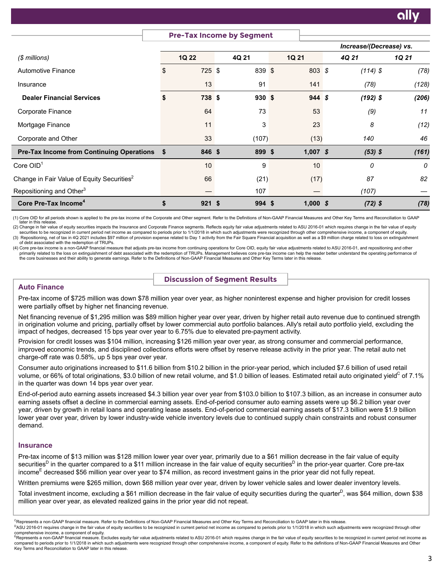|                                                        |                | <b>Pre-Tax Income by Segment</b> |             |                         |          |
|--------------------------------------------------------|----------------|----------------------------------|-------------|-------------------------|----------|
|                                                        |                |                                  |             | Increase/(Decrease) vs. |          |
| $$$ millions)                                          | 1Q 22          | 4Q 21                            | 1Q 21       | 4Q 21                   | 1Q 21    |
| <b>Automotive Finance</b>                              | \$<br>725S     | 839 \$                           | $803 \t{s}$ | $(114)$ \$              | (78)     |
| Insurance                                              | 13             | 91                               | 141         | (78)                    | (128)    |
| <b>Dealer Financial Services</b>                       | \$<br>738 \$   | $930*$                           | 944S        | $(192)$ \$              | (206)    |
| Corporate Finance                                      | 64             | 73                               | 53          | (9)                     | 11       |
| Mortgage Finance                                       | 11             | 3                                | 23          | 8                       | (12)     |
| Corporate and Other                                    | 33             | (107)                            | (13)        | 140                     | 46       |
| <b>Pre-Tax Income from Continuing Operations \$</b>    | 846 \$         | 899 \$                           | $1,007$ \$  | $(53)$ \$               | (161)    |
| $\mathsf{Core}\ O \mathsf{ID}^1$                       | 10             | 9                                | 10          | 0                       | $\theta$ |
| Change in Fair Value of Equity Securities <sup>2</sup> | 66             | (21)                             | (17)        | 87                      | 82       |
| Repositioning and Other <sup>3</sup>                   |                | 107                              |             | (107)                   |          |
| Core Pre-Tax Income <sup>4</sup>                       | \$<br>$921$ \$ | $994$ \$                         | $1,000$ \$  | $(72)$ \$               | (78)     |

(1) Core OID for all periods shown is applied to the pre-tax income of the Corporate and Other segment. Refer to the Definitions of Non-GAAP Financial Measures and Other Key Terms and Reconciliation to GAAP later in this release.

(2) Change in fair value of equity securities impacts the Insurance and Corporate Finance segments. Reflects equity fair value adjustments related to ASU 2016-01 which requires change in the fair value of equity securities to be recognized in current period net income as compared to periods prior to 1/1/2018 in which such adjustments were recognized through other comprehensive income, a component of equity. (3) Repositioning, net of tax in 4Q 2021 includes \$97 million of provision expense related to Day 1 activity from the Fair Square Financial acquisition as well as a \$9 million charge related to loss on extinguishment of debt associated with the redemption of TRUPs.

(4) Core pre-tax income is a non-GAAP financial measure that adjusts pre-tax income from continuing operations for Core OID, equity fair value adjustments related to ASU 2016-01, and repositioning and other primarily related to the loss on extinguishment of debt associated with the redemption of TRUPs. Management believes core pre-tax income can help the reader better understand the operating performance of the core businesses and their ability to generate earnings. Refer to the Definitions of Non-GAAP Financial Measures and Other Key Terms later in this release.

# **Discussion of Segment Results**

# **Auto Finance**

Pre-tax income of \$725 million was down \$78 million year over year, as higher noninterest expense and higher provision for credit losses were partially offset by higher net financing revenue.

Net financing revenue of \$1,295 million was \$89 million higher year over year, driven by higher retail auto revenue due to continued strength in origination volume and pricing, partially offset by lower commercial auto portfolio balances. Ally's retail auto portfolio yield, excluding the impact of hedges, decreased 15 bps year over year to 6.75% due to elevated pre-payment activity.

Provision for credit losses was \$104 million, increasing \$126 million year over year, as strong consumer and commercial performance, improved economic trends, and disciplined collections efforts were offset by reserve release activity in the prior year. The retail auto net charge-off rate was 0.58%, up 5 bps year over year.

Consumer auto originations increased to \$11.6 billion from \$10.2 billion in the prior-year period, which included \$7.6 billion of used retail volume, or 66% of total originations, \$3.0 billion of new retail volume, and \$1.0 billion of leases. Estimated retail auto originated yield<sup>c</sup> of 7.1% in the quarter was down 14 bps year over year.

End-of-period auto earning assets increased \$4.3 billion year over year from \$103.0 billion to \$107.3 billion, as an increase in consumer auto earning assets offset a decline in commercial earning assets. End-of-period consumer auto earning assets were up \$6.2 billion year over year, driven by growth in retail loans and operating lease assets. End-of-period commercial earning assets of \$17.3 billion were \$1.9 billion lower year over year, driven by lower industry-wide vehicle inventory levels due to continued supply chain constraints and robust consumer demand.

# **Insurance**

Key Terms and Reconciliation to GAAP later in this release.

Pre-tax income of \$13 million was \$128 million lower year over year, primarily due to a \$61 million decrease in the fair value of equity securities<sup>D</sup> in the quarter compared to a \$11 million increase in the fair value of equity securities<sup>D</sup> in the prior-year quarter. Core pre-tax income<sup>E</sup> decreased \$56 million year over year to \$74 million, as record investment gains in the prior year did not fully repeat.

Written premiums were \$265 million, down \$68 million year over year, driven by lower vehicle sales and lower dealer inventory levels.

Total investment income, excluding a \$61 million decrease in the fair value of equity securities during the quarter<sup>D</sup>, was \$64 million, down \$38 million year over year, as elevated realized gains in the prior year did not repeat.

<sup>&</sup>lt;sup>C</sup>Represents a non-GAAP financial measure. Refer to the Definitions of Non-GAAP Financial Measures and Other Key Terms and Reconciliation to GAAP later in this release. PASU 2016-01 requires change in the fair value of equity securities to be recognized in current period net income as compared to periods prior to 1/1/2018 in which such adjustments were recognized through other

comprehensive income, a component of equity. ERepresents a non-GAAP financial measure. Excludes equity fair value adjustments related to ASU 2016-01 which requires change in the fair value of equity securities to be recognized in current period net income as compared to periods prior to 1/1/2018 in which such adjustments were recognized through other comprehensive income, a component of equity. Refer to the definitions of Non-GAAP Financial Measures and Other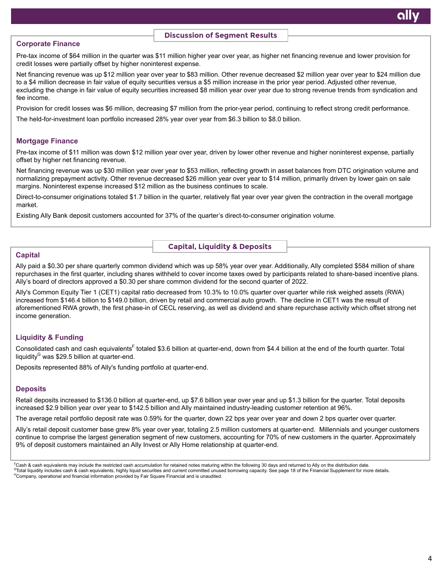### **Discussion of Segment Results**

#### **Corporate Finance**

Pre-tax income of \$64 million in the quarter was \$11 million higher year over year, as higher net financing revenue and lower provision for credit losses were partially offset by higher noninterest expense.

Net financing revenue was up \$12 million year over year to \$83 million. Other revenue decreased \$2 million year over year to \$24 million due to a \$4 million decrease in fair value of equity securities versus a \$5 million increase in the prior year period. Adjusted other revenue, excluding the change in fair value of equity securities increased \$8 million year over year due to strong revenue trends from syndication and fee income.

Provision for credit losses was \$6 million, decreasing \$7 million from the prior-year period, continuing to reflect strong credit performance.

The held-for-investment loan portfolio increased 28% year over year from \$6.3 billion to \$8.0 billion.

### **Mortgage Finance**

Pre-tax income of \$11 million was down \$12 million year over year, driven by lower other revenue and higher noninterest expense, partially offset by higher net financing revenue.

Net financing revenue was up \$30 million year over year to \$53 million, reflecting growth in asset balances from DTC origination volume and normalizing prepayment activity. Other revenue decreased \$26 million year over year to \$14 million, primarily driven by lower gain on sale margins. Noninterest expense increased \$12 million as the business continues to scale.

Direct-to-consumer originations totaled \$1.7 billion in the quarter, relatively flat year over year given the contraction in the overall mortgage market.

Existing Ally Bank deposit customers accounted for 37% of the quarter's direct-to-consumer origination volume.

**Capital, Liquidity & Deposits**

### **Capital**

Ally paid a \$0.30 per share quarterly common dividend which was up 58% year over year. Additionally, Ally completed \$584 million of share repurchases in the first quarter, including shares withheld to cover income taxes owed by participants related to share-based incentive plans. Ally's board of directors approved a \$0.30 per share common dividend for the second quarter of 2022.

Ally's Common Equity Tier 1 (CET1) capital ratio decreased from 10.3% to 10.0% quarter over quarter while risk weighed assets (RWA) increased from \$146.4 billion to \$149.0 billion, driven by retail and commercial auto growth. The decline in CET1 was the result of aforementioned RWA growth, the first phase-in of CECL reserving, as well as dividend and share repurchase activity which offset strong net income generation.

# **Liquidity & Funding**

Consolidated cash and cash equivalents<sup>F</sup> totaled \$3.6 billion at quarter-end, down from \$4.4 billion at the end of the fourth quarter. Total liquidity<sup>G</sup> was \$29.5 billion at quarter-end.

Deposits represented 88% of Ally's funding portfolio at quarter-end.

#### **Deposits**

Retail deposits increased to \$136.0 billion at quarter-end, up \$7.6 billion year over year and up \$1.3 billion for the quarter. Total deposits increased \$2.9 billion year over year to \$142.5 billion and Ally maintained industry-leading customer retention at 96%.

The average retail portfolio deposit rate was 0.59% for the quarter, down 22 bps year over year and down 2 bps quarter over quarter.

Ally's retail deposit customer base grew 8% year over year, totaling 2.5 million customers at quarter-end. Millennials and younger customers continue to comprise the largest generation segment of new customers, accounting for 70% of new customers in the quarter. Approximately 9% of deposit customers maintained an Ally Invest or Ally Home relationship at quarter-end.

FCash & cash equivalents may include the restricted cash accumulation for retained notes maturing within the following 30 days and returned to Ally on the distribution date. <sup>G</sup>Total liquidity includes cash & cash equivalents, highly liquid securities and current committed unused borrowing capacity. See page 18 of the Financial Supplement for more details. <sup>H</sup>Company, operational and financial information provided by Fair Square Financial and is unaudited.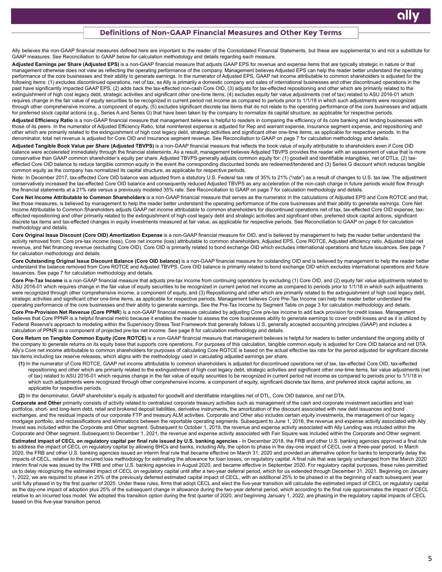#### **Definitions of Non-GAAP Financial Measures and Other Key Terms**

Ally believes the non-GAAP financial measures defined here are important to the reader of the Consolidated Financial Statements, but these are supplemental to and not a substitute for GAAP measures. See Reconciliation to GAAP below for calculation methodology and details regarding each measure.

Adjusted Earnings per Share (Adjusted EPS) is a non-GAAP financial measure that adjusts GAAP EPS for revenue and expense items that are typically strategic in nature or that management otherwise does not view as reflecting the operating performance of the company. Management believes Adjusted EPS can help the reader better understand the operating performance of the core businesses and their ability to generate earnings. In the numerator of Adjusted EPS, GAAP net income attributable to common shareholders is adjusted for the following items: (1) excludes discontinued operations, net of tax, as Ally is primarily a domestic company and sales of international businesses and other discontinued operations in the past have significantly impacted GAAP EPS, (2) adds back the tax-effected non-cash Core OID, (3) adjusts for tax-effected repositioning and other which are primarily related to the extinguishment of high cost legacy debt, strategic activities and significant other one-time items, (4) excludes equity fair value adjustments (net of tax) related to ASU 2016-01 which requires change in the fair value of equity securities to be recognized in current period net income as compared to periods prior to 1/1/18 in which such adjustments were recognized through other comprehensive income, a component of equity, (5) excludes significant discrete tax items that do not relate to the operating performance of the core businesses and adjusts for preferred stock capital actions (e.g., Series A and Series G) that have been taken by the company to normalize its capital structure, as applicable for respective periods.

Adjusted Efficiency Ratio is a non-GAAP financial measure that management believes is helpful to readers in comparing the efficiency of its core banking and lending businesses with those of its peers. In the numerator of Adjusted Efficiency Ratio, total noninterest expense is adjusted for Rep and warrant expense, Insurance segment expense, and repositioning and other which are primarily related to the extinguishment of high cost legacy debt, strategic activities and significant other one-time items, as applicable for respective periods. In the denominator, total net revenue is adjusted for Core OID and Insurance segment revenue. See Reconciliation to GAAP on page 7 for calculation methodology and details.

**Adjusted Tangible Book Value per Share (Adjusted TBVPS)** is a non-GAAP financial measure that reflects the book value of equity attributable to shareholders even if Core OID balance were accelerated immediately through the financial statements. As a result, management believes Adjusted TBVPS provides the reader with an assessment of value that is more conservative than GAAP common shareholder's equity per share. Adjusted TBVPS generally adjusts common equity for: (1) goodwill and identifiable intangibles, net of DTLs, (2) taxeffected Core OID balance to reduce tangible common equity in the event the corresponding discounted bonds are redeemed/tendered and (3) Series G discount which reduces tangible common equity as the company has normalized its capital structure, as applicable for respective periods.

Note: In December 2017, tax-effected Core OID balance was adjusted from a statutory U.S. Federal tax rate of 35% to 21% ("rate") as a result of changes to U.S. tax law. The adjustment conservatively increased the tax-effected Core OID balance and consequently reduced Adjusted TBVPS as any acceleration of the non-cash charge in future periods would flow through the financial statements at a 21% rate versus a previously modeled 35% rate. See Reconciliation to GAAP on page 7 for calculation methodology and details.

**Core Net Income Attributable to Common Shareholders** is a non-GAAP financial measure that serves as the numerator in the calculations of Adjusted EPS and Core ROTCE and that, like those measures, is believed by management to help the reader better understand the operating performance of the core businesses and their ability to generate earnings. Core Net Income Attributable to Common Shareholders adjusts GAAP net income attributable to common shareholders for discontinued operations net of tax, tax-effected Core OID expense, taxeffected repositioning and other primarily related to the extinguishment of high-cost legacy debt and strategic activities and significant other, preferred stock capital actions, significant discrete tax items and tax-effected changes in equity investments measured at fair value, as applicable for respective periods. See Reconciliation to GAAP on page 6 for calculation methodology and details.

Core Original Issue Discount (Core OID) Amortization Expense is a non-GAAP financial measure for OID, and is believed by management to help the reader better understand the activity removed from: Core pre-tax income (loss), Core net income (loss) attributable to common shareholders, Adjusted EPS, Core ROTCE, Adjusted efficiency ratio, Adjusted total net revenue, and Net financing revenue (excluding Core OID). Core OID is primarily related to bond exchange OID which excludes international operations and future issuances. See page 7 for calculation methodology and details.

**Core Outstanding Original Issue Discount Balance (Core OID balance)** is a non-GAAP financial measure for outstanding OID and is believed by management to help the reader better understand the balance removed from Core ROTCE and Adjusted TBVPS. Core OID balance is primarily related to bond exchange OID which excludes international operations and future issuances. See page 7 for calculation methodology and details.

**Core Pre-Tax Income** is a non-GAAP financial measure that adjusts pre-tax income from continuing operations by excluding (1) Core OID, and (2) equity fair value adjustments related to ASU 2016-01 which requires change in the fair value of equity securities to be recognized in current period net income as compared to periods prior to 1/1/18 in which such adjustments were recognized through other comprehensive income, a component of equity, and (3) Repositioning and other which are primarily related to the extinguishment of high cost legacy debt, strategic activities and significant other one-time items, as applicable for respective periods. Management believes Core Pre-Tax Income can help the reader better understand the operating performance of the core businesses and their ability to generate earnings. See the Pre-Tax Income by Segment Table on page 3 for calculation methodology and details.

Core Pre-Provision Net Revenue (Core PPNR) is a non-GAAP financial measure calculated by adjusting Core pre-tax income to add back provision for credit losses. Management believes that Core PPNR is a helpful financial metric because it enables the reader to assess the core businesses ability to generate earnings to cover credit losses and as it is utilized by Federal Reserve's approach to modeling within the Supervisory Stress Test Framework that generally follows U.S. generally accepted accounting principles (GAAP) and includes a calculation of PPNR as a component of projected pre-tax net income. See page 8 for calculation methodology and details.

Core Return on Tangible Common Equity (Core ROTCE) is a non-GAAP financial measure that management believes is helpful for readers to better understand the ongoing ability of the company to generate returns on its equity base that supports core operations. For purposes of this calculation, tangible common equity is adjusted for Core OID balance and net DTA. Ally's Core net income attributable to common shareholders for purposes of calculating Core ROTCE is based on the actual effective tax rate for the period adjusted for significant discrete tax items including tax reserve releases, which aligns with the methodology used in calculating adjusted earnings per share.

**(1)** In the numerator of Core ROTCE, GAAP net income attributable to common shareholders is adjusted for discontinued operations net of tax, tax-effected Core OID, tax-effected repositioning and other which are primarily related to the extinguishment of high cost legacy debt, strategic activities and significant other one-time items, fair value adjustments (net of tax) related to ASU 2016-01 which requires change in the fair value of equity securities to be recognized in current period net income as compared to periods prior to 1/1/18 in which such adjustments were recognized through other comprehensive income, a component of equity, significant discrete tax items, and preferred stock capital actions, as applicable for respective periods.

**(2)** In the denominator, GAAP shareholder's equity is adjusted for goodwill and identifiable intangibles net of DTL, Core OID balance, and net DTA.

Corporate and Other primarily consists of activity related to centralized corporate treasury activities such as management of the cash and corporate investment securities and loan portfolios, short- and long-term debt, retail and brokered deposit liabilities, derivative instruments, the amortization of the discount associated with new debt issuances and bond exchanges, and the residual impacts of our corporate FTP and treasury ALM activities. Corporate and Other also includes certain equity investments, the management of our legacy mortgage portfolio, and reclassifications and eliminations between the reportable operating segments. Subsequent to June 1, 2016, the revenue and expense activity associated with Ally Invest was included within the Corporate and Other segment. Subsequent to October 1, 2019, the revenue and expense activity associated with Ally Lending was included within the Corporate and Other segment. Subsequent to December 1, 2021, the revenue and expense activity associated with Fair Square was included within the Corporate and Other segment.

**Estimated impact of CECL on regulatory capital per final rule issued by U.S. banking agencies** - In December 2018, the FRB and other U.S. banking agencies approved a final rule to address the impact of CECL on regulatory capital by allowing BHCs and banks, including Ally, the option to phase in the day-one impact of CECL over a three-year period. In March 2020, the FRB and other U.S. banking agencies issued an interim final rule that became effective on March 31, 2020 and provided an alternative option for banks to temporarily delay the impacts of CECL, relative to the incurred loss methodology for estimating the allowance for loan losses, on regulatory capital. A final rule that was largely unchanged from the March 2020 interim final rule was issued by the FRB and other U.S. banking agencies in August 2020, and became effective in September 2020. For regulatory capital purposes, these rules permitted us to delay recognizing the estimated impact of CECL on regulatory capital until after a two-year deferral period, which for us extended through December 31, 2021. Beginning on January 1, 2022, we are required to phase in 25% of the previously deferred estimated capital impact of CECL, with an additional 25% to be phased in at the beginning of each subsequent year until fully phased in by the first quarter of 2025. Under these rules, firms that adopt CECL and elect the five-year transition will calculate the estimated impact of CECL on regulatory capital as the day-one impact of adoption plus 25% of the subsequent change in allowance during the two-year deferral period, which according to the final rule approximates the impact of CECL relative to an incurred loss model. We adopted this transition option during the first quarter of 2020, and beginning January 1, 2022, are phasing in the regulatory capital impacts of CECL based on this five-year transition period.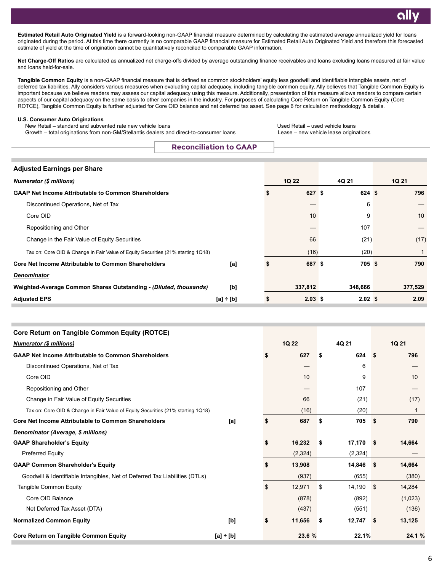**Estimated Retail Auto Originated Yield** is a forward-looking non-GAAP financial measure determined by calculating the estimated average annualized yield for loans originated during the period. At this time there currently is no comparable GAAP financial measure for Estimated Retail Auto Originated Yield and therefore this forecasted estimate of yield at the time of origination cannot be quantitatively reconciled to comparable GAAP information.

Net Charge-Off Ratios are calculated as annualized net charge-offs divided by average outstanding finance receivables and loans excluding loans measured at fair value and loans held-for-sale.

**Tangible Common Equity** is a non-GAAP financial measure that is defined as common stockholders' equity less goodwill and identifiable intangible assets, net of deferred tax liabilities. Ally considers various measures when evaluating capital adequacy, including tangible common equity. Ally believes that Tangible Common Equity is important because we believe readers may assess our capital adequacy using this measure. Additionally, presentation of this measure allows readers to compare certain aspects of our capital adequacy on the same basis to other companies in the industry. For purposes of calculating Core Return on Tangible Common Equity (Core ROTCE), Tangible Common Equity is further adjusted for Core OID balance and net deferred tax asset. See page 6 for calculation methodology & details.

#### **U.S. Consumer Auto Originations**

New Retail – standard and subvented rate new vehicle loans New Retail – used Vehicle loans Used Retail – used vehicle loans

Growth – total originations from non-GM/Stellantis dealers and direct-to-consumer loans Lease – new vehicle lease originations

**Reconciliation to GAAP**

| <b>Adjusted Earnings per Share</b>                                               |                |    |              |                   |  |              |
|----------------------------------------------------------------------------------|----------------|----|--------------|-------------------|--|--------------|
| <b>Numerator (\$ millions)</b>                                                   |                |    | <b>1Q 22</b> | 4Q 21             |  | <b>1Q 21</b> |
| <b>GAAP Net Income Attributable to Common Shareholders</b>                       |                | ъ  | 627S         | 624S              |  | 796          |
| Discontinued Operations, Net of Tax                                              |                |    |              | 6                 |  |              |
| Core OID                                                                         |                |    | 10           | 9                 |  | 10           |
| Repositioning and Other                                                          |                |    |              | 107               |  |              |
| Change in the Fair Value of Equity Securities                                    |                |    | 66           | (21)              |  | (17)         |
| Tax on: Core OID & Change in Fair Value of Equity Securities (21% starting 1Q18) |                |    | (16)         | (20)              |  |              |
| <b>Core Net Income Attributable to Common Shareholders</b>                       | [a]            | S  | 687 \$       | 705S              |  | 790          |
| <b>Denominator</b>                                                               |                |    |              |                   |  |              |
| Weighted-Average Common Shares Outstanding - (Diluted, thousands)                | [b]            |    | 337,812      | 348,666           |  | 377,529      |
| <b>Adjusted EPS</b>                                                              | $[a] \div [b]$ | \$ | $2.03$ \$    | 2.02 <sup>5</sup> |  | 2.09         |

| <b>Core Return on Tangible Common Equity (ROTCE)</b>                             |                |              |    |         |             |         |  |
|----------------------------------------------------------------------------------|----------------|--------------|----|---------|-------------|---------|--|
| <b>Numerator (\$ millions)</b>                                                   | 1Q 22          | 4Q 21        |    |         | 1Q 21       |         |  |
| <b>GAAP Net Income Attributable to Common Shareholders</b>                       |                | \$<br>627    | \$ | 624     | \$          | 796     |  |
| Discontinued Operations, Net of Tax                                              |                |              |    | 6       |             |         |  |
| Core OID                                                                         |                | 10           |    | 9       |             | 10      |  |
| Repositioning and Other                                                          |                |              |    | 107     |             |         |  |
| Change in Fair Value of Equity Securities                                        |                | 66           |    | (21)    |             | (17)    |  |
| Tax on: Core OID & Change in Fair Value of Equity Securities (21% starting 1Q18) |                | (16)         |    | (20)    |             | 1       |  |
| <b>Core Net Income Attributable to Common Shareholders</b>                       | [a]            | \$<br>687    | \$ | 705     | \$          | 790     |  |
| Denominator (Average, \$ millions)                                               |                |              |    |         |             |         |  |
| <b>GAAP Shareholder's Equity</b>                                                 |                | \$<br>16,232 | \$ | 17,170  | <b>S</b>    | 14,664  |  |
| <b>Preferred Equity</b>                                                          |                | (2, 324)     |    | (2,324) |             |         |  |
| <b>GAAP Common Shareholder's Equity</b>                                          |                | \$<br>13,908 |    | 14,846  | <b>S</b>    | 14,664  |  |
| Goodwill & Identifiable Intangibles, Net of Deferred Tax Liabilities (DTLs)      |                | (937)        |    | (655)   |             | (380)   |  |
| Tangible Common Equity                                                           |                | \$<br>12,971 | \$ | 14,190  | $\mathbf s$ | 14,284  |  |
| Core OID Balance                                                                 |                | (878)        |    | (892)   |             | (1,023) |  |
| Net Deferred Tax Asset (DTA)                                                     |                | (437)        |    | (551)   |             | (136)   |  |
| <b>Normalized Common Equity</b>                                                  | [b]            | \$<br>11,656 | \$ | 12,747  | \$          | 13,125  |  |
| <b>Core Return on Tangible Common Equity</b>                                     | $[a] \div [b]$ | 23.6 %       |    | 22.1%   |             | 24.1 %  |  |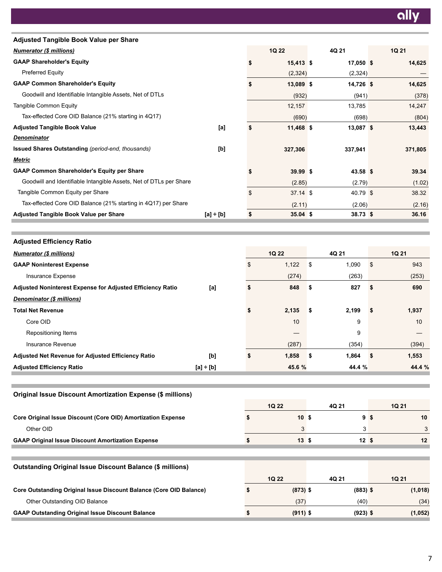| Adjusted Tangible Book Value per Share                                     |                |                       |                 |      |         |
|----------------------------------------------------------------------------|----------------|-----------------------|-----------------|------|---------|
| <b>Numerator (\$ millions)</b>                                             |                | 1Q 22                 | 4Q 21           |      | 1Q 21   |
| <b>GAAP Shareholder's Equity</b>                                           |                | \$<br>15,413 \$       | $17,050$ \$     |      | 14,625  |
| Preferred Equity                                                           |                | (2, 324)              | (2, 324)        |      |         |
| <b>GAAP Common Shareholder's Equity</b>                                    |                | \$<br>13,089 \$       | $14,726$ \$     |      | 14,625  |
| Goodwill and Identifiable Intangible Assets, Net of DTLs                   |                | (932)                 | (941)           |      | (378)   |
| Tangible Common Equity                                                     |                | 12,157                | 13,785          |      | 14,247  |
| Tax-effected Core OID Balance (21% starting in 4Q17)                       |                | (690)                 | (698)           |      | (804)   |
| <b>Adjusted Tangible Book Value</b>                                        | [a]            | \$<br>11,468 \$       | $13,087$ \$     |      | 13,443  |
| <u>Denominator</u>                                                         |                |                       |                 |      |         |
| <b>Issued Shares Outstanding (period-end, thousands)</b>                   | [b]            | 327,306               | 337,941         |      | 371,805 |
| <u>Metric</u>                                                              |                |                       |                 |      |         |
| <b>GAAP Common Shareholder's Equity per Share</b>                          |                | \$<br>39.99 \$        | $43.58$ \$      |      | 39.34   |
| Goodwill and Identifiable Intangible Assets, Net of DTLs per Share         |                | (2.85)                | (2.79)          |      | (1.02)  |
| Tangible Common Equity per Share                                           |                | \$<br>37.14 \$        | 40.79 \$        |      | 38.32   |
| Tax-effected Core OID Balance (21% starting in 4Q17) per Share             |                | (2.11)                | (2.06)          |      | (2.16)  |
| Adjusted Tangible Book Value per Share                                     | $[a] + [b]$    | \$<br>$35.04$ \$      | $38.73$ \$      |      | 36.16   |
|                                                                            |                |                       |                 |      |         |
| <b>Adjusted Efficiency Ratio</b>                                           |                |                       |                 |      |         |
|                                                                            |                | 1Q 22                 | 4Q 21           |      | 1Q 21   |
| <b>Numerator (\$ millions)</b>                                             |                |                       |                 |      |         |
| <b>GAAP Noninterest Expense</b>                                            |                | \$<br>1,122           | \$<br>1,090     | \$   | 943     |
| Insurance Expense                                                          |                | (274)                 | (263)           |      | (253)   |
| Adjusted Noninterest Expense for Adjusted Efficiency Ratio                 | $[a]$          | \$<br>848             | \$<br>827       | \$   | 690     |
| Denominator (\$ millions)                                                  |                |                       |                 |      |         |
| <b>Total Net Revenue</b>                                                   |                | \$<br>2,135           | \$<br>2,199     | \$   | 1,937   |
| Core OID                                                                   |                | 10                    | 9               |      | 10      |
| Repositioning Items                                                        |                |                       | 9               |      |         |
| Insurance Revenue                                                          |                | (287)                 | (354)           |      | (394)   |
| Adjusted Net Revenue for Adjusted Efficiency Ratio                         | $[b]$          | \$<br>1,858           | \$<br>1,864     | - \$ | 1,553   |
| <b>Adjusted Efficiency Ratio</b>                                           | $[a] \div [b]$ | 45.6 %                | 44.4 %          |      | 44.4 %  |
|                                                                            |                |                       |                 |      |         |
| <b>Original Issue Discount Amortization Expense (\$ millions)</b>          |                |                       |                 |      |         |
|                                                                            |                | 1Q 22                 |                 |      |         |
|                                                                            |                |                       | 4Q 21           |      | 1Q 21   |
| Core Original Issue Discount (Core OID) Amortization Expense               |                | \$<br>10 <sup>5</sup> | 9 <sup>5</sup>  |      | 10      |
| Other OID                                                                  |                | 3                     | 3               |      | 3       |
| <b>GAAP Original Issue Discount Amortization Expense</b>                   |                | \$<br>$13 \quad $$    | 12 <sup>5</sup> |      | 12      |
|                                                                            |                |                       |                 |      |         |
| <b>Outstanding Original Issue Discount Balance (\$ millions)</b>           |                |                       |                 |      |         |
|                                                                            |                | 1Q 22                 | 4Q 21           |      | 1Q 21   |
| <b>Core Outstanding Original Issue Discount Balance (Core OID Balance)</b> |                | \$<br>$(873)$ \$      | $(883)$ \$      |      | (1,018) |
| Other Outstanding OID Balance                                              |                | (37)                  | (40)            |      | (34)    |

**GAAP Outstanding Original Issue Discount Balance \$ (911) \$ (923) \$ (1,052)**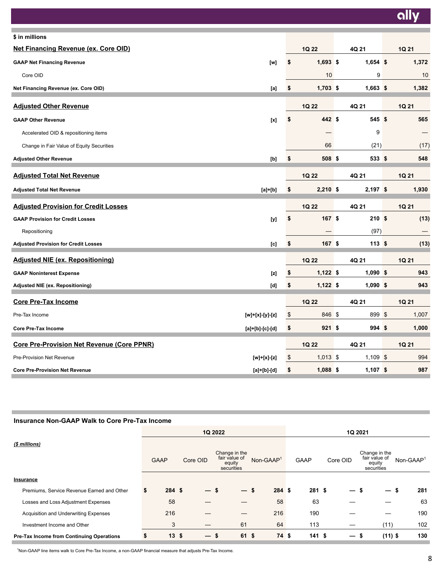ally

| \$ in millions                                                                                                                                                                                                     |                        |            |       |
|--------------------------------------------------------------------------------------------------------------------------------------------------------------------------------------------------------------------|------------------------|------------|-------|
| <b>Net Financing Revenue (ex. Core OID)</b>                                                                                                                                                                        | 1Q 22                  | 4Q 21      | 1Q 21 |
| <b>GAAP Net Financing Revenue</b><br>[w]                                                                                                                                                                           | \$<br>$1,693$ \$       | $1,654$ \$ | 1,372 |
| Core OID                                                                                                                                                                                                           | 10                     | 9          | 10    |
| Net Financing Revenue (ex. Core OID)<br>[a]                                                                                                                                                                        | \$<br>$1,703$ \$       | $1,663$ \$ | 1,382 |
| <b>Adjusted Other Revenue</b>                                                                                                                                                                                      | 1Q 22                  | 4Q 21      | 1Q 21 |
| <b>GAAP Other Revenue</b><br>$[{\mathsf{x}}] % \centering \includegraphics[width=0.9\textwidth]{images/Trn1.png} % \caption{The figure shows the results of the estimators in the left and right.} \label{Trn2} %$ | \$<br>442 \$           | 545S       | 565   |
| Accelerated OID & repositioning items                                                                                                                                                                              | —                      | 9          |       |
| Change in Fair Value of Equity Securities                                                                                                                                                                          | 66                     | (21)       | (17)  |
| <b>Adjusted Other Revenue</b><br>[b]                                                                                                                                                                               | \$<br>508 <sup>°</sup> | 533 \$     | 548   |
| <b>Adjusted Total Net Revenue</b>                                                                                                                                                                                  | 1Q 22                  | 4Q 21      | 1Q 21 |
| <b>Adjusted Total Net Revenue</b><br>$[a]+[b]$                                                                                                                                                                     | \$<br>$2,210$ \$       | $2,197$ \$ | 1,930 |
| <b>Adjusted Provision for Credit Losses</b>                                                                                                                                                                        | 1Q 22                  | 4Q 21      | 1Q 21 |
| <b>GAAP Provision for Credit Losses</b><br>[y]                                                                                                                                                                     | \$<br>167S             | 210S       | (13)  |
| Repositioning                                                                                                                                                                                                      |                        | (97)       |       |
| <b>Adjusted Provision for Credit Losses</b><br>$[{\rm c}]$                                                                                                                                                         | \$<br>167S             | 113S       | (13)  |
| <b>Adjusted NIE (ex. Repositioning)</b>                                                                                                                                                                            | 1Q 22                  | 4Q 21      | 1Q 21 |
| <b>GAAP Noninterest Expense</b><br>$[{\mathsf z}]$                                                                                                                                                                 | \$<br>$1,122$ \$       | $1,090$ \$ | 943   |
| Adjusted NIE (ex. Repositioning)<br>[d]                                                                                                                                                                            | \$<br>$1,122$ \$       | $1,090$ \$ | 943   |
| <b>Core Pre-Tax Income</b>                                                                                                                                                                                         | 1Q 22                  | 4Q 21      | 1Q 21 |
| Pre-Tax Income<br>[w]+[x]-[y]-[z]                                                                                                                                                                                  | \$<br>846 \$           | 899 \$     | 1,007 |
| <b>Core Pre-Tax Income</b><br>$[a] + [b] - [c] - [d]$                                                                                                                                                              | \$<br>921S             | 994S       | 1,000 |
| <b>Core Pre-Provision Net Revenue (Core PPNR)</b>                                                                                                                                                                  | 1Q 22                  | 4Q 21      | 1Q 21 |
| Pre-Provision Net Revenue<br>[w]+[x]-[z]                                                                                                                                                                           | \$<br>$1,013$ \$       | $1,109$ \$ | 994   |
| <b>Core Pre-Provision Net Revenue</b><br>[a]+[b]-[d]                                                                                                                                                               | \$<br>$1,088$ \$       | $1,107$ \$ | 987   |

# **Insurance Non-GAAP Walk to Core Pre-Tax Income**

Ē.

|                                                  |             |            | 1Q 2022                                                |          | 1Q 2021     |                          |                                                        |                       |  |  |  |  |  |
|--------------------------------------------------|-------------|------------|--------------------------------------------------------|----------|-------------|--------------------------|--------------------------------------------------------|-----------------------|--|--|--|--|--|
| (\$ millions)                                    | <b>GAAP</b> | Core OID   | Change in the<br>fair value of<br>equity<br>securities | Non-GAAP | <b>GAAP</b> | Core OID                 | Change in the<br>fair value of<br>equity<br>securities | Non-GAAP <sup>1</sup> |  |  |  |  |  |
| Insurance                                        |             |            |                                                        |          |             |                          |                                                        |                       |  |  |  |  |  |
| Premiums, Service Revenue Earned and Other       | 284S<br>S.  | — S        | $\overline{\phantom{0}}$                               | 284S     | 281S        | —                        | S<br>$\overline{\phantom{0}}$                          | 281                   |  |  |  |  |  |
| Losses and Loss Adjustment Expenses              | 58          |            |                                                        | 58       | 63          |                          |                                                        | 63                    |  |  |  |  |  |
| Acquisition and Underwriting Expenses            | 216         |            |                                                        | 216      | 190         |                          |                                                        | 190                   |  |  |  |  |  |
| Investment Income and Other                      | 3           |            | 61                                                     | 64       | 113         |                          | (11)                                                   | 102                   |  |  |  |  |  |
| <b>Pre-Tax Income from Continuing Operations</b> | 13<br>S     | \$<br>— \$ | 61 \$                                                  | 74 \$    | 141S        | $\overline{\phantom{0}}$ | $(11)$ \$<br>ъ                                         | 130                   |  |  |  |  |  |

<sup>1</sup>Non-GAAP line items walk to Core Pre-Tax Income, a non-GAAP financial measure that adjusts Pre-Tax Income.